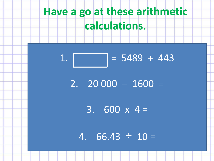# **Have a go at these arithmetic calculations.**

## $1.$  = 5489 + 443

 $2. 20000 - 1600 =$ 

3.  $600 \times 4 =$ 

4.  $66.43 \div 10 =$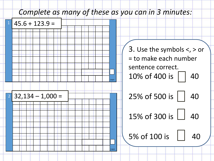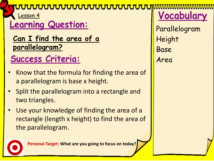#### <del>ruuuuuuuuuuuuuu</del>

Lesson 4

## Learning Question:

**Can I find the area of a parallelogram?**

## **Success Criteria:**

- Know that the formula for finding the area of a parallelogram is base x height.
- Split the parallelogram into a rectangle and two triangles.
- Use your knowledge of finding the area of a rectangle (length x height) to find the area of the parallelogram.

**Personal Target: What are you going to focus on today?**

**Vocabular** 

Parallelogram Height Base Area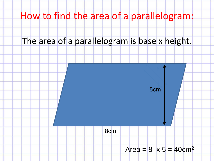### How to find the area of a parallelogram:

#### The area of a parallelogram is base x height.

8cm



#### Area =  $8 \times 5 = 40$ cm<sup>2</sup>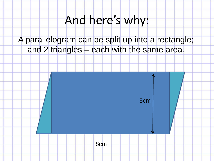# And here's why:

#### A parallelogram can be split up into a rectangle; and 2 triangles – each with the same area.

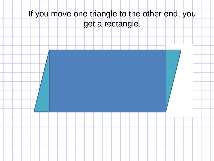## If you move one triangle to the other end, you get a rectangle.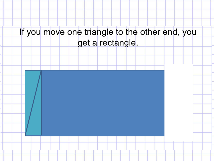# If you move one triangle to the other end, you get a rectangle.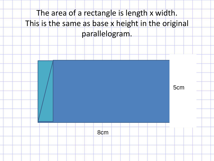## The area of a rectangle is length x width. This is the same as base x height in the original parallelogram.

5cm

8cm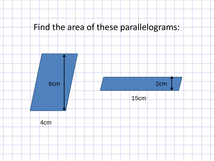#### Find the area of these parallelograms:

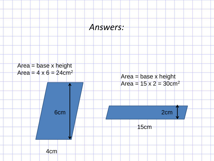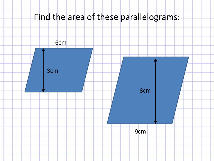### Find the area of these parallelograms:

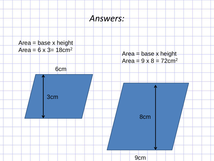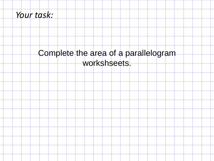#### *Your task:*

#### Complete the area of a parallelogram workshseets.